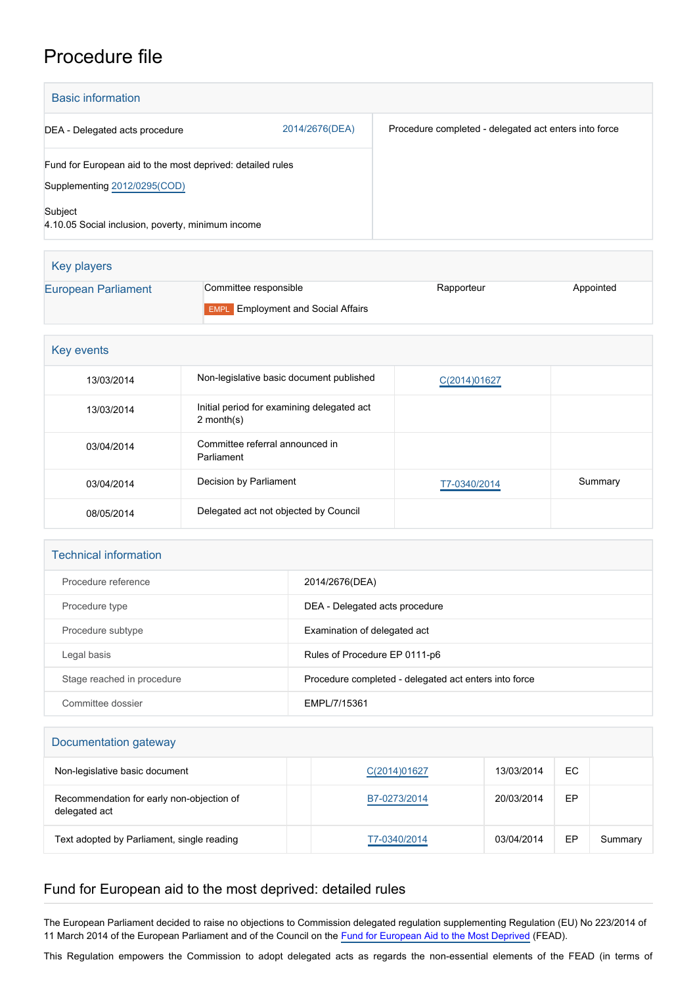## Procedure file

| <b>Basic information</b>                                                                   |                |                                                       |
|--------------------------------------------------------------------------------------------|----------------|-------------------------------------------------------|
| DEA - Delegated acts procedure                                                             | 2014/2676(DEA) | Procedure completed - delegated act enters into force |
| Fund for European aid to the most deprived: detailed rules<br>Supplementing 2012/0295(COD) |                |                                                       |
| Subject<br>4.10.05 Social inclusion, poverty, minimum income                               |                |                                                       |

| Key players                |                                           |            |           |
|----------------------------|-------------------------------------------|------------|-----------|
| <b>European Parliament</b> | Committee responsible                     | Rapporteur | Appointed |
|                            | <b>EMPL</b> Employment and Social Affairs |            |           |

| Key events |                                                             |              |         |  |
|------------|-------------------------------------------------------------|--------------|---------|--|
| 13/03/2014 | Non-legislative basic document published                    | C(2014)01627 |         |  |
| 13/03/2014 | Initial period for examining delegated act<br>2 month $(s)$ |              |         |  |
| 03/04/2014 | Committee referral announced in<br>Parliament               |              |         |  |
| 03/04/2014 | Decision by Parliament                                      | T7-0340/2014 | Summary |  |
| 08/05/2014 | Delegated act not objected by Council                       |              |         |  |

## Technical information

| Procedure reference        | 2014/2676(DEA)                                        |
|----------------------------|-------------------------------------------------------|
| Procedure type             | DEA - Delegated acts procedure                        |
| Procedure subtype          | Examination of delegated act                          |
| Legal basis                | Rules of Procedure EP 0111-p6                         |
| Stage reached in procedure | Procedure completed - delegated act enters into force |
| Committee dossier          | EMPL/7/15361                                          |

## Documentation gateway

| Non-legislative basic document                             | C(2014)01627 | 13/03/2014 | EC |         |
|------------------------------------------------------------|--------------|------------|----|---------|
| Recommendation for early non-objection of<br>delegated act | B7-0273/2014 | 20/03/2014 | EP |         |
| Text adopted by Parliament, single reading                 | T7-0340/2014 | 03/04/2014 | EP | Summary |

## Fund for European aid to the most deprived: detailed rules

The European Parliament decided to raise no objections to Commission delegated regulation supplementing Regulation (EU) No 223/2014 of 11 March 2014 of the European Parliament and of the Council on the [Fund for European Aid to the Most Deprived](http://www.europarl.europa.eu/oeil/popups/ficheprocedure.do?lang=EN&reference=2012/0295(COD)) (FEAD).

This Regulation empowers the Commission to adopt delegated acts as regards the non-essential elements of the FEAD (in terms of